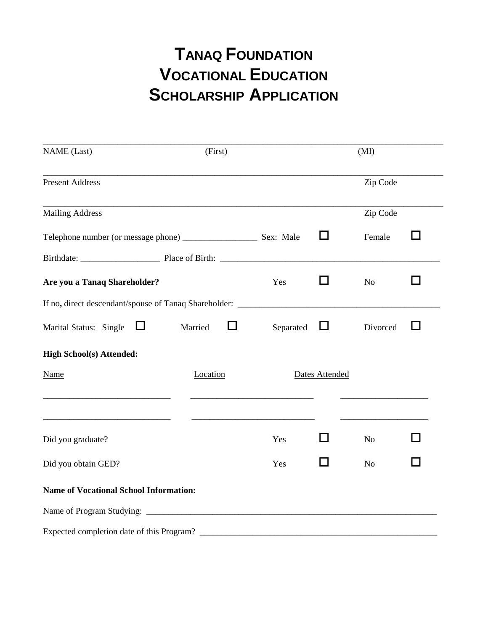## **TANAQ FOUNDATION VOCATIONAL EDUCATION SCHOLARSHIP APPLICATION**

| <b>NAME</b> (Last)                                                                                                    | (First)        |           |                | (MI)           |   |
|-----------------------------------------------------------------------------------------------------------------------|----------------|-----------|----------------|----------------|---|
| <b>Present Address</b>                                                                                                |                |           |                | Zip Code       |   |
| <b>Mailing Address</b>                                                                                                |                |           |                | Zip Code       |   |
|                                                                                                                       |                |           | □              | Female         | H |
|                                                                                                                       |                |           |                |                |   |
| Are you a Tanaq Shareholder?                                                                                          |                | Yes       | П              | No             |   |
| If no, direct descendant/spouse of Tanaq Shareholder: ___________________________                                     |                |           |                |                |   |
| Marital Status: Single $\Box$                                                                                         | Married<br>l 1 | Separated | $\Box$         | Divorced       |   |
| <b>High School(s) Attended:</b>                                                                                       |                |           |                |                |   |
| <b>Name</b>                                                                                                           | Location       |           | Dates Attended |                |   |
| <u> 1989 - Johann Barbara, martin amerikan basar dan berasal dan berasal dalam basar dalam basar dalam basar dala</u> |                |           |                |                |   |
| Did you graduate?                                                                                                     |                | Yes       | - 1            | N <sub>o</sub> |   |
| Did you obtain GED?                                                                                                   |                | Yes       |                | N <sub>o</sub> |   |
| <b>Name of Vocational School Information:</b>                                                                         |                |           |                |                |   |
|                                                                                                                       |                |           |                |                |   |
|                                                                                                                       |                |           |                |                |   |